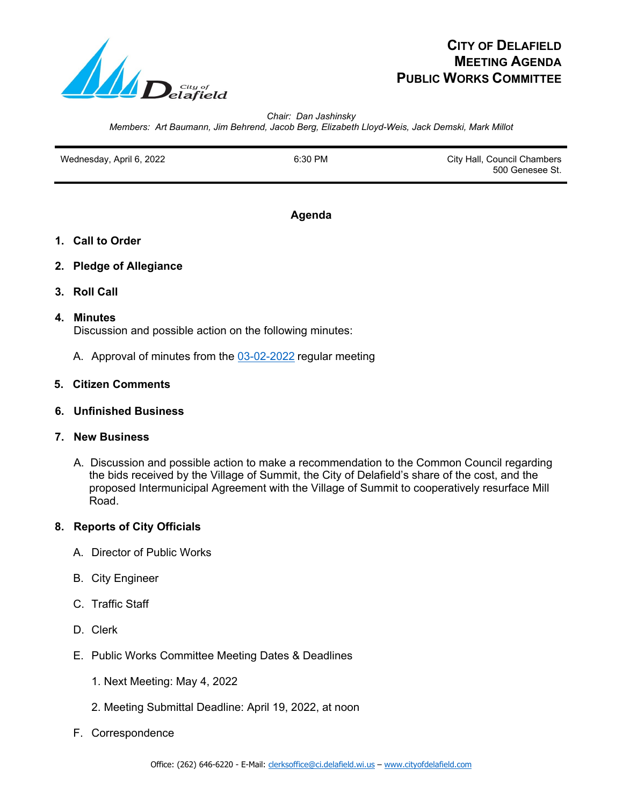

# **CITY OF DELAFIELD MEETING AGENDA PUBLIC WORKS COMMITTEE**

*Chair: Dan Jashinsky Members: Art Baumann, Jim Behrend, Jacob Berg, Elizabeth Lloyd-Weis, Jack Demski, Mark Millot*

Wednesday, April 6, 2022 **6:30 PM** 6:30 PM City Hall, Council Chambers 500 Genesee St.

#### **Agenda**

- **1. Call to Order**
- **2. Pledge of Allegiance**
- **3. Roll Call**

#### **4. Minutes**

Discussion and possible action on the following minutes:

A. Approval of minutes from the [03-02-2022](file://CH-SERVER-V1/sgeneral/Meetings/Public%20Works%20Committee/Public%20Works%20Committee%20Minutes/2022/2022-03-02%20PWC%20Draft%20Minutes.pdf) regular meeting

## **5. Citizen Comments**

**6. Unfinished Business**

## **7. New Business**

 A. Discussion and possible action to make a recommendation to the Common Council regarding the bids received by the Village of Summit, the City of Delafield's share of the cost, and the proposed Intermunicipal Agreement with the Village of Summit to cooperatively resurface Mill Road.

# **8. Reports of City Officials**

- A. Director of Public Works
- B. City Engineer
- C. Traffic Staff
- D. Clerk
- E. Public Works Committee Meeting Dates & Deadlines
	- 1. Next Meeting: May 4, 2022
	- 2. Meeting Submittal Deadline: April 19, 2022, at noon
- F. Correspondence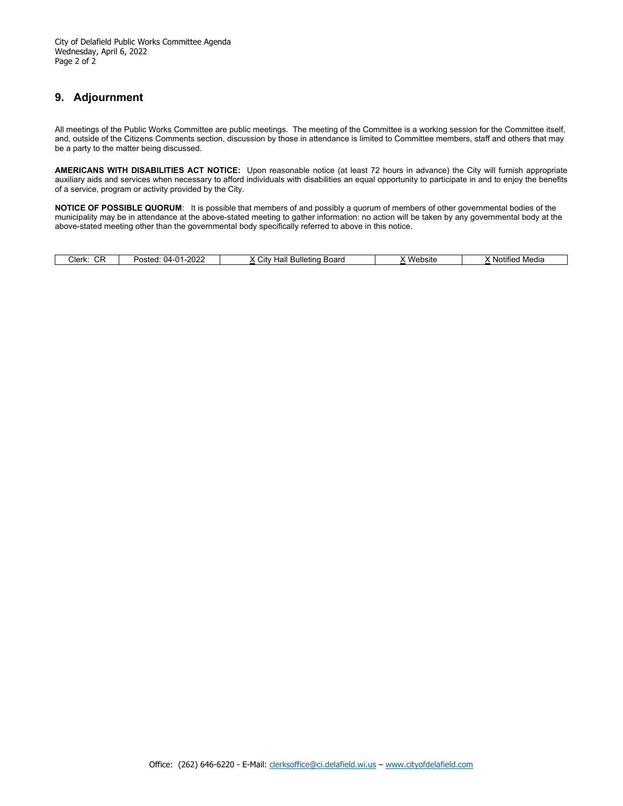## **9. Adjournment**

All meetings of the Public Works Committee are public meetings. The meeting of the Committee is a working session for the Committee itself, and, outside of the Citizens Comments section, discussion by those in attendance is limited to Committee members, staff and others that may be a party to the matter being discussed.

**AMERICANS WITH DISABILITIES ACT NOTICE:** Upon reasonable notice (at least 72 hours in advance) the City will furnish appropriate auxiliary aids and services when necessary to afford individuals with disabilities an equal opportunity to participate in and to enjoy the benefits of a service, program or activity provided by the City.

**NOTICE OF POSSIBLE QUORUM**: It is possible that members of and possibly a quorum of members of other governmental bodies of the municipality may be in attendance at the above-stated meeting to gather information: no action will be taken by any governmental body at the above-stated meeting other than the governmental body specifically referred to above in this notice.

| $\sim$<br>Clerk.<br>◡ | $1 - 202$<br>11<br>Posted <sup>-</sup><br>(14. | Board<br>اٽ<br>Bulle<br>etına<br>.<br>⊓aı | .<br>ebsite<br>احس | Media<br>. Notitier |
|-----------------------|------------------------------------------------|-------------------------------------------|--------------------|---------------------|
|-----------------------|------------------------------------------------|-------------------------------------------|--------------------|---------------------|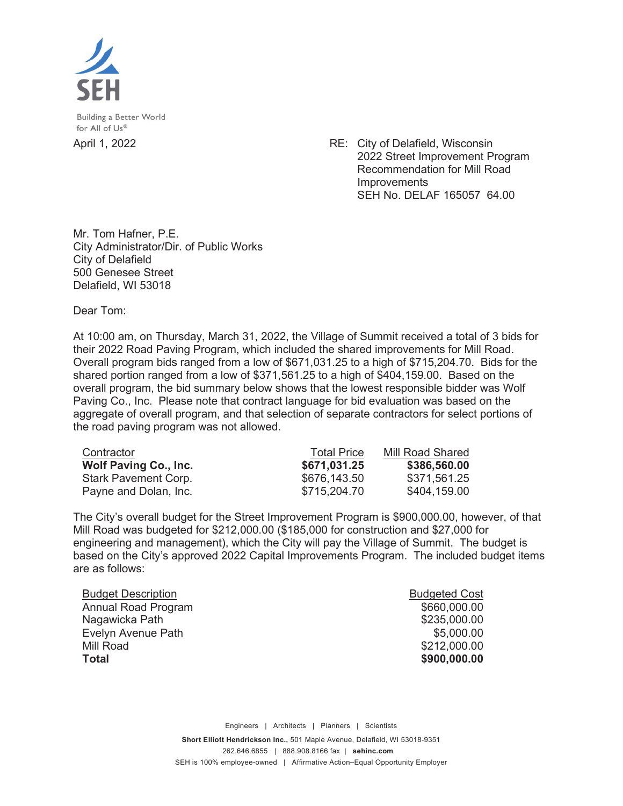

Building a Better World for All of Us®

April 1, 2022 RE: City of Delafield, Wisconsin 2022 Street Improvement Program Recommendation for Mill Road **Improvements** SEH No. DELAF 165057 64.00

Mr. Tom Hafner, P.E. City Administrator/Dir. of Public Works City of Delafield 500 Genesee Street Delafield, WI 53018

Dear Tom:

At 10:00 am, on Thursday, March 31, 2022, the Village of Summit received a total of 3 bids for their 2022 Road Paving Program, which included the shared improvements for Mill Road. Overall program bids ranged from a low of \$671,031.25 to a high of \$715,204.70. Bids for the shared portion ranged from a low of \$371,561.25 to a high of \$404,159.00. Based on the overall program, the bid summary below shows that the lowest responsible bidder was Wolf Paving Co., Inc. Please note that contract language for bid evaluation was based on the aggregate of overall program, and that selection of separate contractors for select portions of the road paving program was not allowed.

| Contractor                   | <b>Total Price</b> | Mill Road Shared |
|------------------------------|--------------------|------------------|
| <b>Wolf Paving Co., Inc.</b> | \$671,031.25       | \$386,560.00     |
| <b>Stark Pavement Corp.</b>  | \$676,143.50       | \$371,561.25     |
| Payne and Dolan, Inc.        | \$715,204.70       | \$404,159.00     |

The City's overall budget for the Street Improvement Program is \$900,000.00, however, of that Mill Road was budgeted for \$212,000.00 (\$185,000 for construction and \$27,000 for engineering and management), which the City will pay the Village of Summit. The budget is based on the City's approved 2022 Capital Improvements Program. The included budget items are as follows:

| <b>Total</b>              | \$900,000.00         |
|---------------------------|----------------------|
| Mill Road                 | \$212,000.00         |
| Evelyn Avenue Path        | \$5,000.00           |
| Nagawicka Path            | \$235,000.00         |
| Annual Road Program       | \$660,000.00         |
| <b>Budget Description</b> | <b>Budgeted Cost</b> |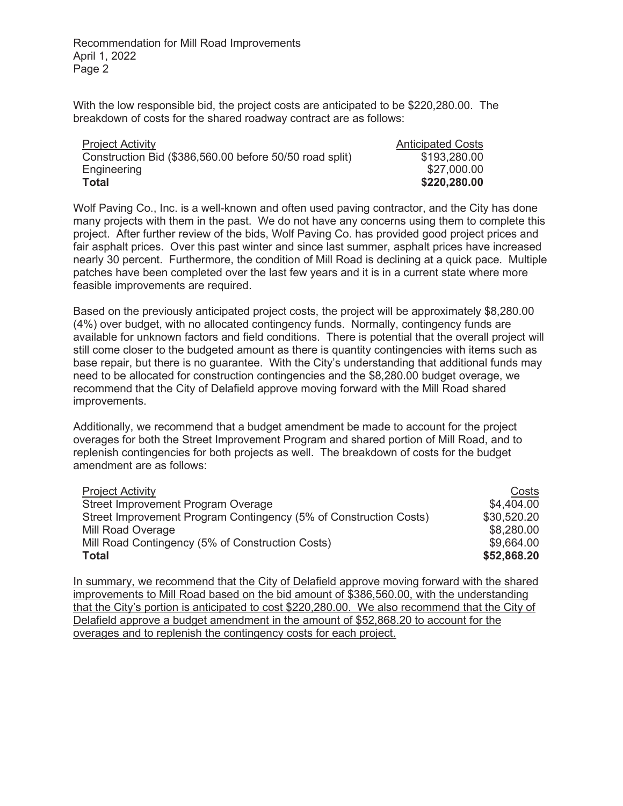Recommendation for Mill Road Improvements April 1, 2022 Page 2

With the low responsible bid, the project costs are anticipated to be \$220,280.00. The breakdown of costs for the shared roadway contract are as follows:

| <b>Project Activity</b>                                 | <b>Anticipated Costs</b> |
|---------------------------------------------------------|--------------------------|
| Construction Bid (\$386,560.00 before 50/50 road split) | \$193,280.00             |
| Engineering                                             | \$27,000.00              |
| Total                                                   | \$220,280.00             |

Wolf Paving Co., Inc. is a well-known and often used paving contractor, and the City has done many projects with them in the past. We do not have any concerns using them to complete this project. After further review of the bids, Wolf Paving Co. has provided good project prices and fair asphalt prices. Over this past winter and since last summer, asphalt prices have increased nearly 30 percent. Furthermore, the condition of Mill Road is declining at a quick pace. Multiple patches have been completed over the last few years and it is in a current state where more feasible improvements are required.

Based on the previously anticipated project costs, the project will be approximately \$8,280.00 (4%) over budget, with no allocated contingency funds. Normally, contingency funds are available for unknown factors and field conditions. There is potential that the overall project will still come closer to the budgeted amount as there is quantity contingencies with items such as base repair, but there is no guarantee. With the City's understanding that additional funds may need to be allocated for construction contingencies and the \$8,280.00 budget overage, we recommend that the City of Delafield approve moving forward with the Mill Road shared improvements.

Additionally, we recommend that a budget amendment be made to account for the project overages for both the Street Improvement Program and shared portion of Mill Road, and to replenish contingencies for both projects as well. The breakdown of costs for the budget amendment are as follows:

| <b>Project Activity</b>                                           | Costs       |
|-------------------------------------------------------------------|-------------|
| Street Improvement Program Overage                                | \$4,404.00  |
| Street Improvement Program Contingency (5% of Construction Costs) | \$30,520.20 |
| Mill Road Overage                                                 | \$8,280.00  |
| Mill Road Contingency (5% of Construction Costs)                  | \$9,664.00  |
| <b>Total</b>                                                      | \$52,868.20 |

In summary, we recommend that the City of Delafield approve moving forward with the shared improvements to Mill Road based on the bid amount of \$386,560.00, with the understanding that the City's portion is anticipated to cost \$220,280.00. We also recommend that the City of Delafield approve a budget amendment in the amount of \$52,868.20 to account for the overages and to replenish the contingency costs for each project.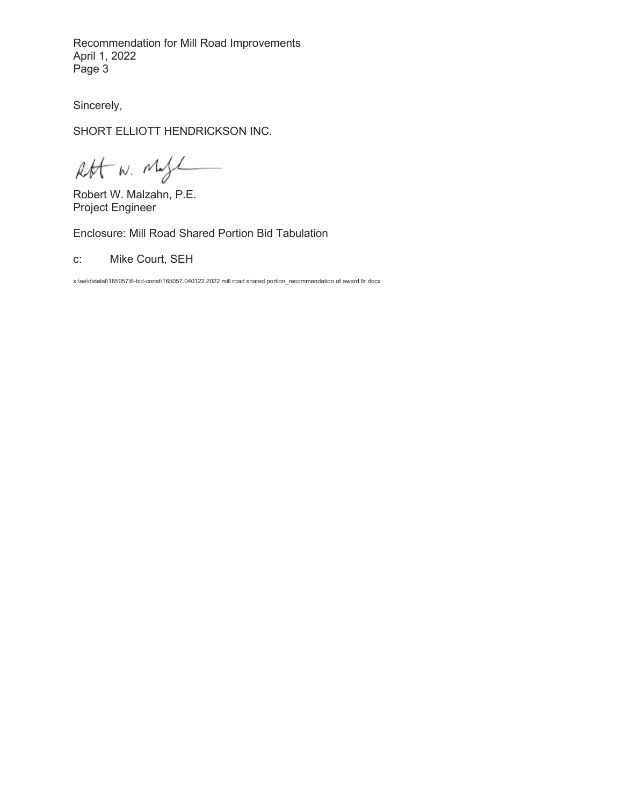Recommendation for Mill Road Improvements April 1, 2022 Page 3

Sincerely,

SHORT ELLIOTT HENDRICKSON INC.

Rft W. Magl

Robert W. Malzahn, P.E. Project Engineer

Enclosure: Mill Road Shared Portion Bid Tabulation

c: Mike Court, SEH

x:\ae\d\delaf\165057\6-bid-const\165057.040122.2022 mill road shared portion\_recommendation of award ltr.docx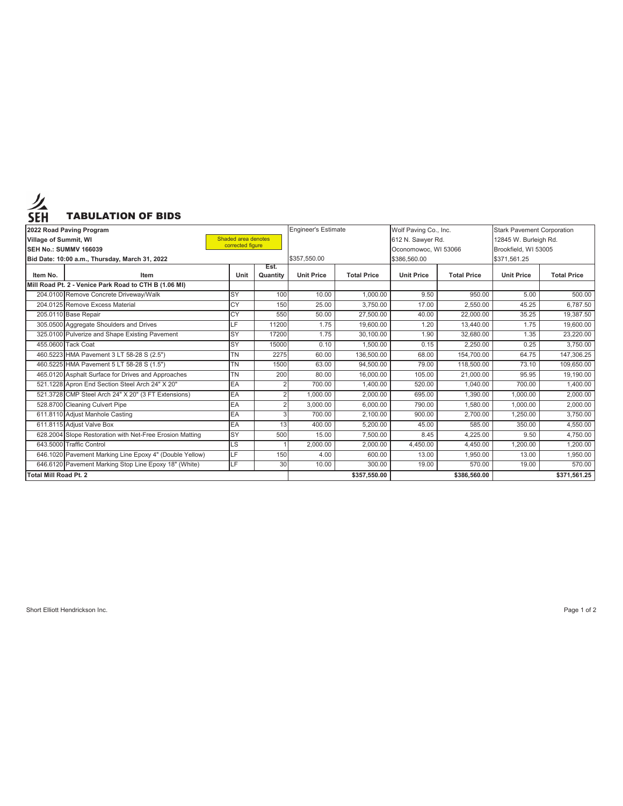

| 2022 Road Paving Program                         |                                                          |           | <b>Engineer's Estimate</b> |                   | Wolf Paving Co., Inc. |                       | <b>Stark Pavement Corporation</b> |                   |                    |
|--------------------------------------------------|----------------------------------------------------------|-----------|----------------------------|-------------------|-----------------------|-----------------------|-----------------------------------|-------------------|--------------------|
| Shaded area denotes<br>Village of Summit, WI     |                                                          |           |                            | 612 N. Sawyer Rd. |                       | 12845 W. Burleigh Rd. |                                   |                   |                    |
| corrected figure<br><b>SEH No.: SUMMV 166039</b> |                                                          |           |                            |                   | Oconomowoc, WI 53066  |                       | Brookfield, WI 53005              |                   |                    |
|                                                  | Bid Date: 10:00 a.m., Thursday, March 31, 2022           |           |                            | \$357,550.00      |                       | \$386,560.00          |                                   | \$371,561.25      |                    |
| Item No.                                         | Item                                                     | Unit      | Est.<br>Quantity           | <b>Unit Price</b> | <b>Total Price</b>    | <b>Unit Price</b>     | <b>Total Price</b>                | <b>Unit Price</b> | <b>Total Price</b> |
|                                                  | Mill Road Pt. 2 - Venice Park Road to CTH B (1.06 MI)    |           |                            |                   |                       |                       |                                   |                   |                    |
|                                                  | 204.0100 Remove Concrete Driveway/Walk                   | <b>SY</b> | 100                        | 10.00             | 1,000.00              | 9.50                  | 950.00                            | 5.00              | 500.00             |
|                                                  | 204.0125 Remove Excess Material                          | CY        | 150                        | 25.00             | 3.750.00              | 17.00                 | 2.550.00                          | 45.25             | 6,787.50           |
|                                                  | 205.0110 Base Repair                                     | CY        | 550                        | 50.00             | 27,500.00             | 40.00                 | 22.000.00                         | 35.25             | 19.387.50          |
|                                                  | 305.0500 Aggregate Shoulders and Drives                  | LF.       | 11200                      | 1.75              | 19,600.00             | 1.20                  | 13,440.00                         | 1.75              | 19,600.00          |
|                                                  | 325.0100 Pulverize and Shape Existing Pavement           | <b>SY</b> | 17200                      | 1.75              | 30,100.00             | 1.90                  | 32,680.00                         | 1.35              | 23,220.00          |
|                                                  | 455.0600 Tack Coat                                       | <b>SY</b> | 15000                      | 0.10              | 1,500.00              | 0.15                  | 2,250.00                          | 0.25              | 3,750.00           |
|                                                  | 460.5223 HMA Pavement 3 LT 58-28 S (2.5")                | <b>TN</b> | 2275                       | 60.00             | 136,500.00            | 68.00                 | 154.700.00                        | 64.75             | 147,306.25         |
|                                                  | 460.5225 HMA Pavement 5 LT 58-28 S (1.5")                | <b>TN</b> | 1500                       | 63.00             | 94,500.00             | 79.00                 | 118,500.00                        | 73.10             | 109,650.00         |
|                                                  | 465.0120 Asphalt Surface for Drives and Approaches       | <b>TN</b> | 200                        | 80.00             | 16,000.00             | 105.00                | 21,000.00                         | 95.95             | 19,190.00          |
|                                                  | 521.1228 Apron End Section Steel Arch 24" X 20"          | EA        |                            | 700.00            | 1,400.00              | 520.00                | 1,040.00                          | 700.00            | 1,400.00           |
|                                                  | 521.3728 CMP Steel Arch 24" X 20" (3 FT Extensions)      | EA        | 2                          | 1,000.00          | 2,000.00              | 695.00                | 1,390.00                          | 1,000.00          | 2,000.00           |
|                                                  | 528.8700 Cleaning Culvert Pipe                           | EA        | $\overline{2}$             | 3,000.00          | 6.000.00              | 790.00                | 1,580.00                          | 1,000.00          | 2,000.00           |
|                                                  | 611.8110 Adjust Manhole Casting                          | EA        | 3                          | 700.00            | 2,100.00              | 900.00                | 2,700.00                          | 1,250.00          | 3,750.00           |
|                                                  | 611.8115 Adjust Valve Box                                | EA        | 13                         | 400.00            | 5.200.00              | 45.00                 | 585.00                            | 350.00            | 4,550.00           |
|                                                  | 628.2004 Slope Restoration with Net-Free Erosion Matting | <b>SY</b> | 500                        | 15.00             | 7,500.00              | 8.45                  | 4,225.00                          | 9.50              | 4,750.00           |
|                                                  | 643.5000 Traffic Control                                 | LS        |                            | 2,000.00          | 2,000.00              | 4,450.00              | 4,450.00                          | 1,200.00          | 1,200.00           |
|                                                  | 646.1020 Pavement Marking Line Epoxy 4" (Double Yellow)  | LF        | 150                        | 4.00              | 600.00                | 13.00                 | 1,950.00                          | 13.00             | 1,950.00           |
|                                                  | 646.6120 Pavement Marking Stop Line Epoxy 18" (White)    | LF        | 30                         | 10.00             | 300.00                | 19.00                 | 570.00                            | 19.00             | 570.00             |
| <b>Total Mill Road Pt. 2</b>                     |                                                          |           |                            | \$357,550.00      |                       | \$386,560.00          |                                   | \$371,561.25      |                    |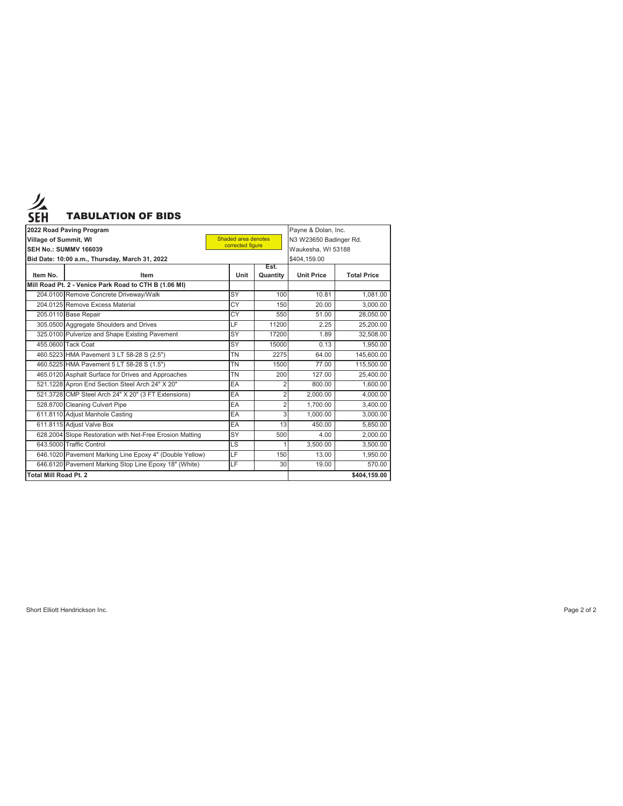

|                              | 2022 Road Paving Program                                 |                                         |                  | Payne & Dolan, Inc.    |                    |  |
|------------------------------|----------------------------------------------------------|-----------------------------------------|------------------|------------------------|--------------------|--|
| Village of Summit, WI        |                                                          | Shaded area denotes<br>corrected figure |                  | N3 W23650 Badinger Rd. |                    |  |
|                              | <b>SEH No.: SUMMV 166039</b>                             |                                         |                  | Waukesha, WI 53188     |                    |  |
|                              | Bid Date: 10:00 a.m., Thursday, March 31, 2022           |                                         |                  | \$404,159.00           |                    |  |
| Item No.                     | Item                                                     | Unit                                    | Est.<br>Quantity | <b>Unit Price</b>      | <b>Total Price</b> |  |
|                              | Mill Road Pt. 2 - Venice Park Road to CTH B (1.06 MI)    |                                         |                  |                        |                    |  |
|                              | 204.0100 Remove Concrete Driveway/Walk                   | SY                                      | 100              | 10.81                  | 1.081.00           |  |
|                              | 204.0125 Remove Excess Material                          | <b>CY</b>                               | 150              | 20.00                  | 3.000.00           |  |
|                              | 205.0110 Base Repair                                     | $\overline{CY}$                         | 550              | 51.00                  | 28.050.00          |  |
|                              | 305.0500 Aggregate Shoulders and Drives                  | LF                                      | 11200            | 2.25                   | 25.200.00          |  |
|                              | 325.0100 Pulverize and Shape Existing Pavement           | SY                                      | 17200            | 1.89                   | 32.508.00          |  |
|                              | 455.0600 Tack Coat                                       | SY                                      | 15000            | 0.13                   | 1.950.00           |  |
|                              | 460.5223 HMA Pavement 3 LT 58-28 S (2.5")                | <b>TN</b>                               | 2275             | 64.00                  | 145.600.00         |  |
|                              | 460.5225 HMA Pavement 5 LT 58-28 S (1.5")                | <b>TN</b>                               | 1500             | 77.00                  | 115,500.00         |  |
|                              | 465.0120 Asphalt Surface for Drives and Approaches       | <b>TN</b>                               | 200              | 127.00                 | 25.400.00          |  |
|                              | 521.1228 Apron End Section Steel Arch 24" X 20"          | EA                                      | $\overline{2}$   | 800.00                 | 1,600.00           |  |
|                              | 521.3728 CMP Steel Arch 24" X 20" (3 FT Extensions)      | EA                                      | $\overline{2}$   | 2.000.00               | 4,000.00           |  |
|                              | 528.8700 Cleaning Culvert Pipe                           | EA                                      | $\overline{2}$   | 1.700.00               | 3,400.00           |  |
|                              | 611.8110 Adjust Manhole Casting                          | EA                                      | 3                | 1.000.00               | 3.000.00           |  |
|                              | 611.8115 Adiust Valve Box                                | EA                                      | 13               | 450.00                 | 5.850.00           |  |
|                              | 628.2004 Slope Restoration with Net-Free Erosion Matting | SY                                      | 500              | 4.00                   | 2.000.00           |  |
|                              | 643.5000 Traffic Control                                 | LS                                      |                  | 3.500.00               | 3,500.00           |  |
|                              | 646.1020 Pavement Marking Line Epoxy 4" (Double Yellow)  | LF                                      | 150              | 13.00                  | 1.950.00           |  |
|                              | 646.6120 Pavement Marking Stop Line Epoxy 18" (White)    | LF                                      | 30               | 19.00                  | 570.00             |  |
| <b>Total Mill Road Pt. 2</b> |                                                          |                                         | \$404.159.00     |                        |                    |  |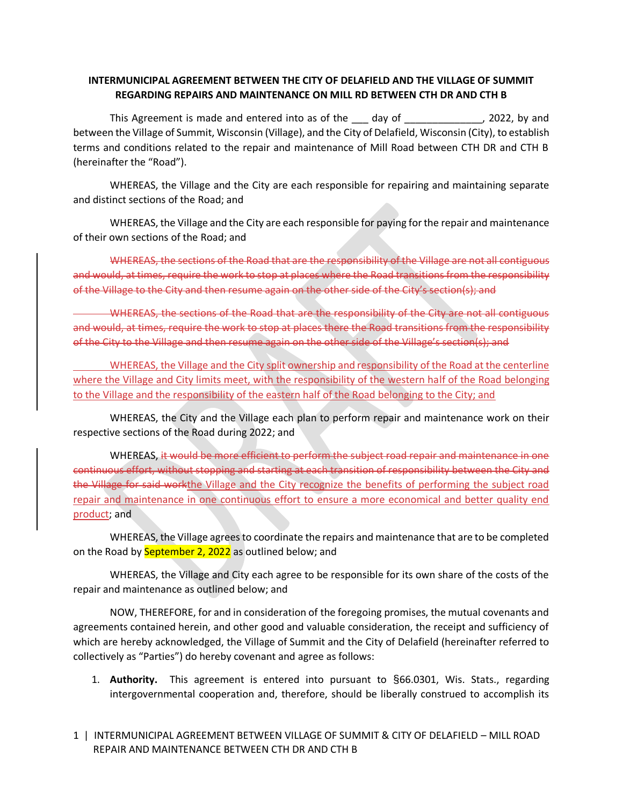# **INTERMUNICIPAL AGREEMENT BETWEEN THE CITY OF DELAFIELD AND THE VILLAGE OF SUMMIT REGARDING REPAIRS AND MAINTENANCE ON MILL RD BETWEEN CTH DR AND CTH B**

This Agreement is made and entered into as of the day of This Agreement is made and entered into as of the day of between the Village of Summit, Wisconsin (Village), and the City of Delafield, Wisconsin (City), to establish terms and conditions related to the repair and maintenance of Mill Road between CTH DR and CTH B (hereinafter the "Road").

WHEREAS, the Village and the City are each responsible for repairing and maintaining separate and distinct sections of the Road; and

WHEREAS, the Village and the City are each responsible for paying for the repair and maintenance of their own sections of the Road; and

WHEREAS, the sections of the Road that are the responsibility of the Village are not all contiguous and would, at times, require the work to stop at places where the Road transitions from the responsibility of the Village to the City and then resume again on the other side of the City's section(s); and

WHEREAS, the sections of the Road that are the responsibility of the City are not all contiguous and would, at times, require the work to stop at places there the Road transitions from the responsibility of the City to the Village and then resume again on the other side of the Village's section(s); and

WHEREAS, the Village and the City split ownership and responsibility of the Road at the centerline where the Village and City limits meet, with the responsibility of the western half of the Road belonging to the Village and the responsibility of the eastern half of the Road belonging to the City; and

WHEREAS, the City and the Village each plan to perform repair and maintenance work on their respective sections of the Road during 2022; and

WHEREAS, it would be more efficient to perform the subject road repair and maintenance in one continuous effort, without stopping and starting at each transition of responsibility between the City and the Village for said workthe Village and the City recognize the benefits of performing the subject road repair and maintenance in one continuous effort to ensure a more economical and better quality end product; and

WHEREAS, the Village agrees to coordinate the repairs and maintenance that are to be completed on the Road by September 2, 2022 as outlined below; and

WHEREAS, the Village and City each agree to be responsible for its own share of the costs of the repair and maintenance as outlined below; and

NOW, THEREFORE, for and in consideration of the foregoing promises, the mutual covenants and agreements contained herein, and other good and valuable consideration, the receipt and sufficiency of which are hereby acknowledged, the Village of Summit and the City of Delafield (hereinafter referred to collectively as "Parties") do hereby covenant and agree as follows:

- 1. **Authority.** This agreement is entered into pursuant to §66.0301, Wis. Stats., regarding intergovernmental cooperation and, therefore, should be liberally construed to accomplish its
- 1 | INTERMUNICIPAL AGREEMENT BETWEEN VILLAGE OF SUMMIT & CITY OF DELAFIELD MILL ROAD REPAIR AND MAINTENANCE BETWEEN CTH DR AND CTH B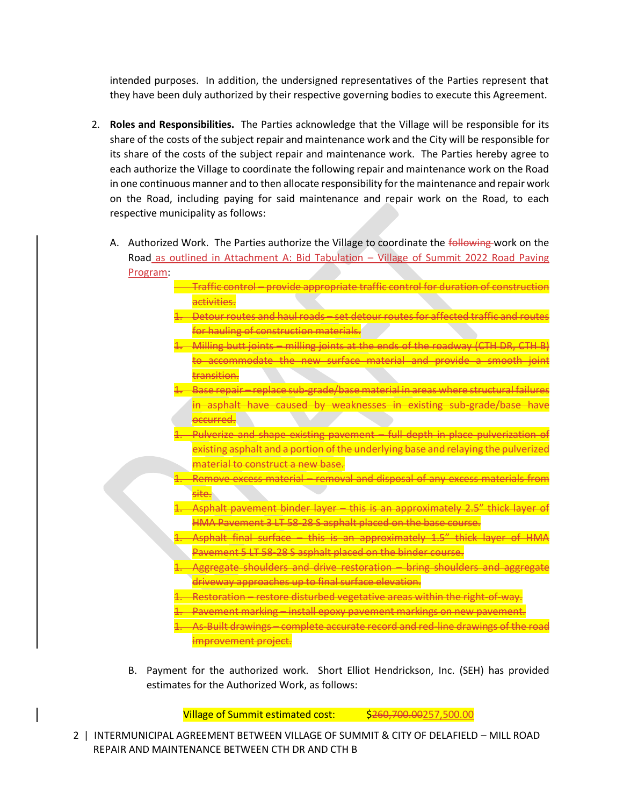intended purposes. In addition, the undersigned representatives of the Parties represent that they have been duly authorized by their respective governing bodies to execute this Agreement.

- 2. **Roles and Responsibilities.** The Parties acknowledge that the Village will be responsible for its share of the costs of the subject repair and maintenance work and the City will be responsible for its share of the costs of the subject repair and maintenance work. The Parties hereby agree to each authorize the Village to coordinate the following repair and maintenance work on the Road in one continuous manner and to then allocate responsibility for the maintenance and repair work on the Road, including paying for said maintenance and repair work on the Road, to each respective municipality as follows:
	- A. Authorized Work. The Parties authorize the Village to coordinate the following work on the Road as outlined in Attachment A: Bid Tabulation – Village of Summit 2022 Road Paving Program:
		- Traffic control provide appropriate traffic control for duration of construction activities.
		- 1. Detour routes and haul roads set detour routes for affected traffic and routes for hauling of construction materials.
		- 1. Milling butt joints milling joints at the ends of the roadway (CTH DR, CTH B) to accommodate the new surface material and provide a smooth joint transition.
		- 1. Base repair replace sub-grade/base material in areas where structural failures in asphalt have caused by weaknesses in existing sub-grade/base have occurred.
		- 1. Pulverize and shape existing pavement full depth in-place pulverization of existing asphalt and a portion of the underlying base and relaying the pulverized material to construct a new base.
		- Remove excess material removal and disposal of any excess materials from site.
		- Asphalt pavement binder layer this is an approximately 2.5" thick layer of HMA Pavement 3 LT 58-28 S asphalt placed on the base course.
		- 1. Asphalt final surface this is an approximately 1.5" thick layer of HMA Pavement 5 LT 58-28 S asphalt placed on the binder course.
		- 1. Aggregate shoulders and drive restoration bring shoulders and aggregate driveway approaches up to final surface elevation.
		- 1. Restoration restore disturbed vegetative areas within the right-of-way.
		- 1. Pavement marking install epoxy pavement markings on new pavement.
		- 1. As-Built drawings complete accurate record and red-line drawings of the road improvement project.
		- B. Payment for the authorized work. Short Elliot Hendrickson, Inc. (SEH) has provided estimates for the Authorized Work, as follows:

Village of Summit estimated cost: \$260,700.00257,500.00

2 | INTERMUNICIPAL AGREEMENT BETWEEN VILLAGE OF SUMMIT & CITY OF DELAFIELD – MILL ROAD REPAIR AND MAINTENANCE BETWEEN CTH DR AND CTH B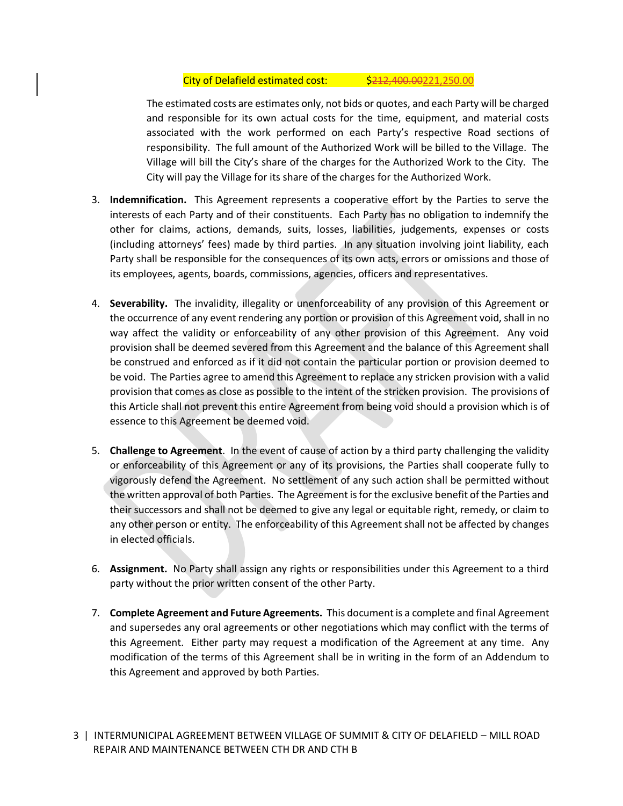#### City of Delafield estimated cost: \$212,400.00221,250.00

The estimated costs are estimates only, not bids or quotes, and each Party will be charged and responsible for its own actual costs for the time, equipment, and material costs associated with the work performed on each Party's respective Road sections of responsibility. The full amount of the Authorized Work will be billed to the Village. The Village will bill the City's share of the charges for the Authorized Work to the City. The City will pay the Village for its share of the charges for the Authorized Work.

- 3. **Indemnification.** This Agreement represents a cooperative effort by the Parties to serve the interests of each Party and of their constituents. Each Party has no obligation to indemnify the other for claims, actions, demands, suits, losses, liabilities, judgements, expenses or costs (including attorneys' fees) made by third parties. In any situation involving joint liability, each Party shall be responsible for the consequences of its own acts, errors or omissions and those of its employees, agents, boards, commissions, agencies, officers and representatives.
- 4. **Severability.** The invalidity, illegality or unenforceability of any provision of this Agreement or the occurrence of any event rendering any portion or provision of this Agreement void, shall in no way affect the validity or enforceability of any other provision of this Agreement. Any void provision shall be deemed severed from this Agreement and the balance of this Agreement shall be construed and enforced as if it did not contain the particular portion or provision deemed to be void. The Parties agree to amend this Agreement to replace any stricken provision with a valid provision that comes as close as possible to the intent of the stricken provision. The provisions of this Article shall not prevent this entire Agreement from being void should a provision which is of essence to this Agreement be deemed void.
- 5. **Challenge to Agreement**. In the event of cause of action by a third party challenging the validity or enforceability of this Agreement or any of its provisions, the Parties shall cooperate fully to vigorously defend the Agreement. No settlement of any such action shall be permitted without the written approval of both Parties. The Agreement is for the exclusive benefit of the Parties and their successors and shall not be deemed to give any legal or equitable right, remedy, or claim to any other person or entity. The enforceability of this Agreement shall not be affected by changes in elected officials.
- 6. **Assignment.** No Party shall assign any rights or responsibilities under this Agreement to a third party without the prior written consent of the other Party.
- 7. **Complete Agreement and Future Agreements.** This document is a complete and final Agreement and supersedes any oral agreements or other negotiations which may conflict with the terms of this Agreement. Either party may request a modification of the Agreement at any time. Any modification of the terms of this Agreement shall be in writing in the form of an Addendum to this Agreement and approved by both Parties.
- 3 | INTERMUNICIPAL AGREEMENT BETWEEN VILLAGE OF SUMMIT & CITY OF DELAFIELD MILL ROAD REPAIR AND MAINTENANCE BETWEEN CTH DR AND CTH B